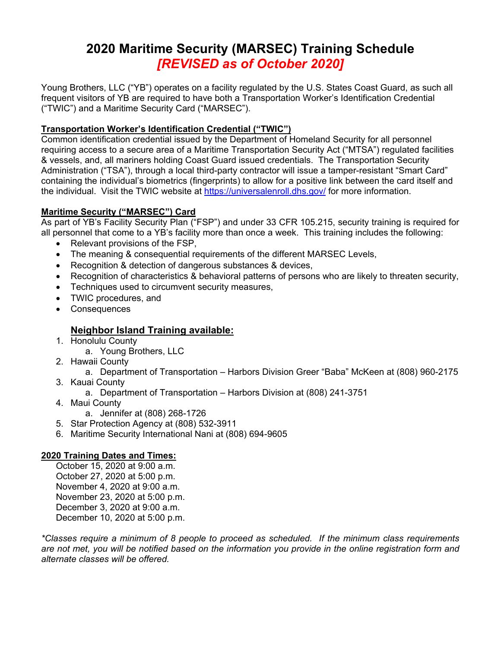# **2020 Maritime Security (MARSEC) Training Schedule**  *[REVISED as of October 2020]*

Young Brothers, LLC ("YB") operates on a facility regulated by the U.S. States Coast Guard, as such all frequent visitors of YB are required to have both a Transportation Worker's Identification Credential ("TWIC") and a Maritime Security Card ("MARSEC").

## **Transportation Worker's Identification Credential ("TWIC")**

Common identification credential issued by the Department of Homeland Security for all personnel requiring access to a secure area of a Maritime Transportation Security Act ("MTSA") regulated facilities & vessels, and, all mariners holding Coast Guard issued credentials. The Transportation Security Administration ("TSA"), through a local third-party contractor will issue a tamper-resistant "Smart Card" containing the individual's biometrics (fingerprints) to allow for a positive link between the card itself and the individual. Visit the TWIC website at https://universalenroll.dhs.gov/ for more information.

## **Maritime Security ("MARSEC") Card**

As part of YB's Facility Security Plan ("FSP") and under 33 CFR 105.215, security training is required for all personnel that come to a YB's facility more than once a week. This training includes the following:

- Relevant provisions of the FSP,
- The meaning & consequential requirements of the different MARSEC Levels,
- Recognition & detection of dangerous substances & devices,
- Recognition of characteristics & behavioral patterns of persons who are likely to threaten security,
- Techniques used to circumvent security measures,
- TWIC procedures, and
- Consequences

## **Neighbor Island Training available:**

- 1. Honolulu County
	- a. Young Brothers, LLC
- 2. Hawaii County
	- a. Department of Transportation Harbors Division Greer "Baba" McKeen at (808) 960-2175
- 3. Kauai County
	- a. Department of Transportation Harbors Division at (808) 241-3751
- 4. Maui County
	- a. Jennifer at (808) 268-1726
- 5. Star Protection Agency at (808) 532-3911
- 6. Maritime Security International Nani at (808) 694-9605

## **2020 Training Dates and Times:**

October 15, 2020 at 9:00 a.m. October 27, 2020 at 5:00 p.m. November 4, 2020 at 9:00 a.m. November 23, 2020 at 5:00 p.m. December 3, 2020 at 9:00 a.m. December 10, 2020 at 5:00 p.m.

*\*Classes require a minimum of 8 people to proceed as scheduled. If the minimum class requirements are not met, you will be notified based on the information you provide in the online registration form and alternate classes will be offered.*